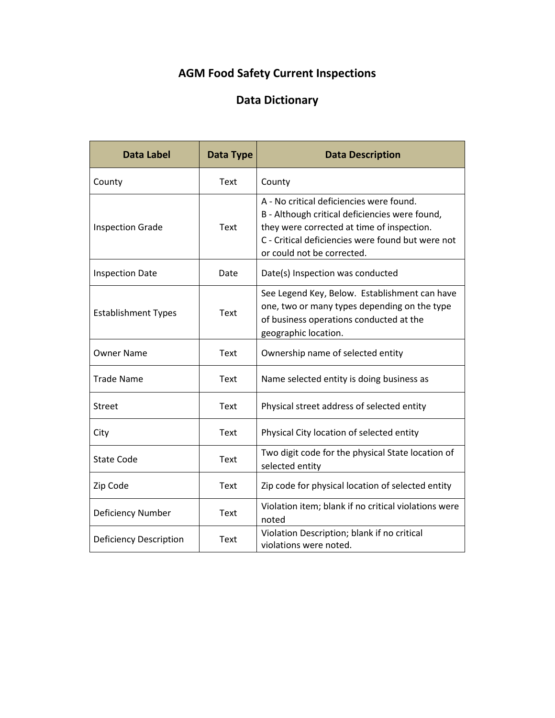## **AGM Food Safety Current Inspections**

## **Data Dictionary**

| <b>Data Label</b>             | Data Type   | <b>Data Description</b>                                                                                                                                                                                                     |
|-------------------------------|-------------|-----------------------------------------------------------------------------------------------------------------------------------------------------------------------------------------------------------------------------|
| County                        | Text        | County                                                                                                                                                                                                                      |
| <b>Inspection Grade</b>       | <b>Text</b> | A - No critical deficiencies were found.<br>B - Although critical deficiencies were found,<br>they were corrected at time of inspection.<br>C - Critical deficiencies were found but were not<br>or could not be corrected. |
| <b>Inspection Date</b>        | Date        | Date(s) Inspection was conducted                                                                                                                                                                                            |
| <b>Establishment Types</b>    | Text        | See Legend Key, Below. Establishment can have<br>one, two or many types depending on the type<br>of business operations conducted at the<br>geographic location.                                                            |
| <b>Owner Name</b>             | <b>Text</b> | Ownership name of selected entity                                                                                                                                                                                           |
| <b>Trade Name</b>             | Text        | Name selected entity is doing business as                                                                                                                                                                                   |
| Street                        | <b>Text</b> | Physical street address of selected entity                                                                                                                                                                                  |
| City                          | Text        | Physical City location of selected entity                                                                                                                                                                                   |
| <b>State Code</b>             | Text        | Two digit code for the physical State location of<br>selected entity                                                                                                                                                        |
| Zip Code                      | Text        | Zip code for physical location of selected entity                                                                                                                                                                           |
| Deficiency Number             | Text        | Violation item; blank if no critical violations were<br>noted                                                                                                                                                               |
| <b>Deficiency Description</b> | <b>Text</b> | Violation Description; blank if no critical<br>violations were noted.                                                                                                                                                       |